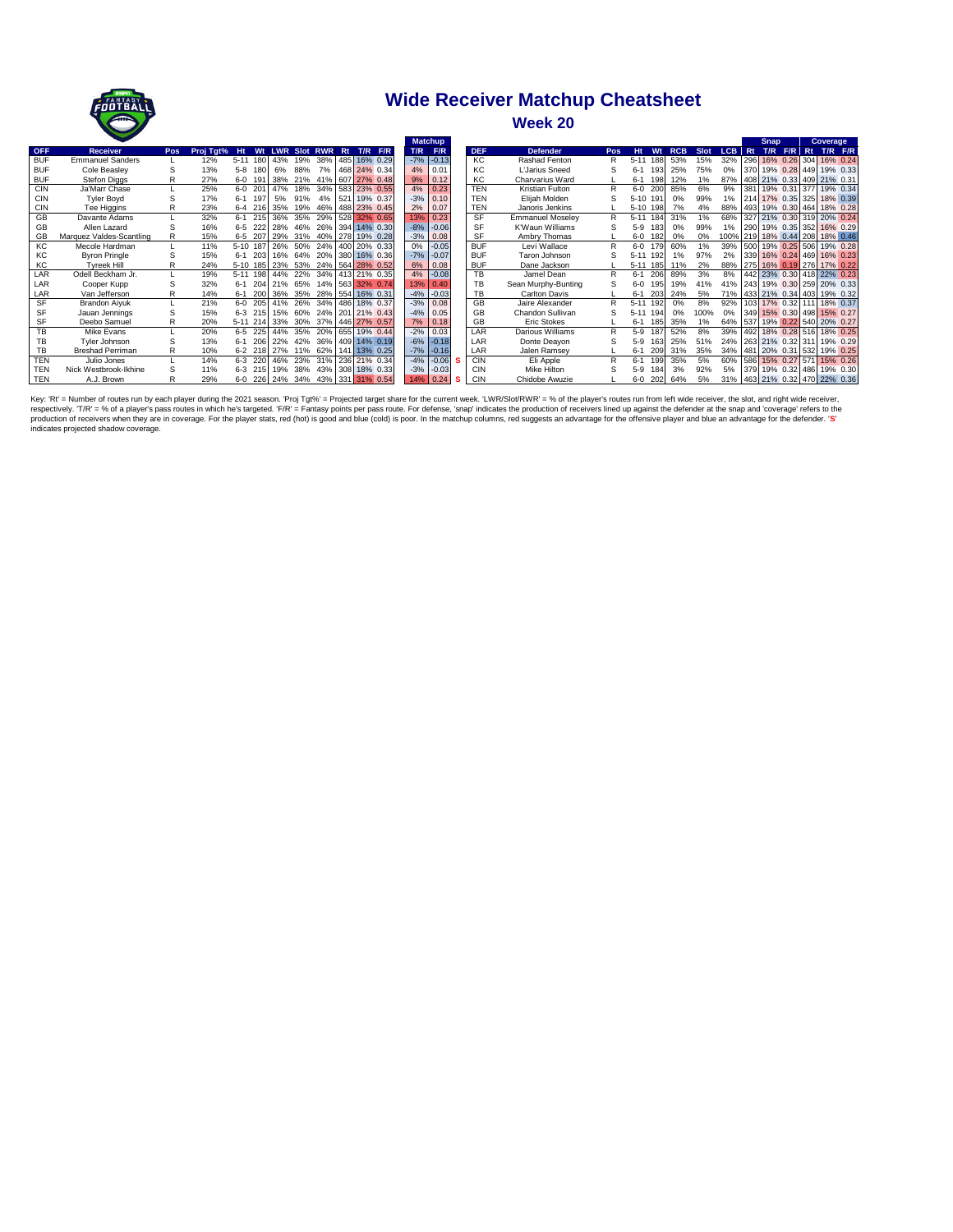

## **Wide Receiver Matchup Cheatsheet**

**Week 20**

|            |                          |            |           |           |          |                 |                     |     |    |                                  |       | <b>Matchup</b> |            |                         |              |                 |            |      |                                | <b>Snap</b>                   |          | Coverage    |  |
|------------|--------------------------|------------|-----------|-----------|----------|-----------------|---------------------|-----|----|----------------------------------|-------|----------------|------------|-------------------------|--------------|-----------------|------------|------|--------------------------------|-------------------------------|----------|-------------|--|
| <b>OFF</b> | <b>Receiver</b>          | <b>Pos</b> | Proj Tgt% | <b>Ht</b> | Wt       |                 | <b>LWR Slot RWR</b> |     | Rt | T/R F/R                          | T/R   | F/R            | <b>DEF</b> | <b>Defender</b>         | Pos          | <b>Ht</b><br>Wt | <b>RCB</b> | Slot | LCB Rt                         | T/R                           | $F/R$ Rt | $T/R$ $F/R$ |  |
| <b>BUF</b> | <b>Emmanuel Sanders</b>  |            | 12%       | $5 - 11$  | 180      | 43%             | 19%                 | 38% |    | 485 16% 0.29                     |       | $-7\%$ $-0.13$ | KC.        | Rashad Fenton           | R            | 188<br>$5 - 11$ | 53%        | 15%  | 32%                            | 296 16% 0.26 304 16% 0.24     |          |             |  |
| <b>BUF</b> | Cole Beasley             | S          | 13%       | $5-8$     | 180      | 6%              | 88%                 |     |    | 7% 468 24% 0.34                  | 4%    | 0.01           | KC         | L'Jarius Sneed          | S            | $6 - 1$         | 25%<br>193 | 75%  | 0%                             | 370 19% 0.28 449 19% 0.33     |          |             |  |
| <b>BUF</b> | <b>Stefon Diggs</b>      | R          | 27%       |           | 6-0 191  | 38%             |                     |     |    | 21% 41% 607 27% 0.48             |       | 9% 0.12        | KC         | Charvarius Ward         |              | $6 - 1$         | 12%<br>198 | 1%   | 87%                            | 408 21% 0.33 409 21% 0.31     |          |             |  |
| <b>CIN</b> | Ja'Marr Chase            |            | 25%       |           | 6-0 201  | 47%             | 18%                 |     |    | 34% 583 23% 0.55                 |       | $4\%$ 0.23     | <b>TEN</b> | Kristian Fulton         | R            | $6-0$ 200       | 85%        | 6%   | 9%                             | 381 19% 0.31 377 19% 0.34     |          |             |  |
| <b>CIN</b> | <b>Tyler Boyd</b>        | S          | 17%       |           | 6-1 197  | 5%              | 91%                 |     |    | 4% 521 19% 0.37                  |       | $-3\%$ 0.10    | <b>TEN</b> | Elijah Molden           | S            | 5-10 191        | 0%         | 99%  | 1%                             | 214 17% 0.35 325 18% 0.39     |          |             |  |
| <b>CIN</b> | Tee Higgins              |            | 23%       |           |          | 6-4 216 35%     |                     |     |    | 19% 46% 488 23% 0.45             |       | 2% 0.07        | <b>TEN</b> | Janoris Jenkins         |              | 5-10 198        | 7%         | 4%   |                                | 88% 493 19% 0.30 464 18% 0.28 |          |             |  |
| GB         | Davante Adams            |            | 32%       |           | 6-1 215  | 36%             | 35%                 | 29% |    | 528 32% 0.65                     | 13%   | 0.23           | <b>SF</b>  | <b>Emmanuel Moselev</b> | $\mathsf{R}$ | $5 - 11$        | 31%<br>184 | 1%   | 68%                            | 327 21% 0.30 319 20% 0.24     |          |             |  |
| GB         | Allen Lazard             |            | 16%       |           | 6-5 222  | 28%             | 46%                 |     |    | 26% 394 14% 0.30                 |       | $-8\% -0.06$   | <b>SF</b>  | <b>K'Waun Williams</b>  | S            | $5-9$           | 0%<br>183  | 99%  | 1%                             | 290 19% 0.35 352 16% 0.29     |          |             |  |
| GB         | Marquez Valdes-Scantling | R          | 15%       |           | 6-5 207  | 29%             | 31%                 |     |    | 40% 278 19% 0.28                 |       | $-3\%$ 0.08    | SF         | Ambry Thomas            |              | $6-0$<br>182    | 0%         | 0%   | 100% 219 18% 0.44 208 18% 0.46 |                               |          |             |  |
| KC         | Mecole Hardman           |            | 11%       |           | 5-10 187 | 26%             | 50%                 | 24% |    | 400 20% 0.33                     | 0%    | $-0.05$        | <b>BUF</b> | Levi Wallace            | R            | 179<br>$6-0$    | 60%        | 1%   | 39%                            | 500 19% 0.25 506 19% 0.28     |          |             |  |
| KC         | <b>Byron Pringle</b>     |            | 15%       |           | 6-1 203  | 16%             | 64%                 |     |    | 20% 380 16% 0.36                 |       | $-7\% -0.07$   | <b>BUF</b> | Taron Johnson           | S            | $5 - 11$        | 1%<br>192  | 97%  | 2%                             | 339 16% 0.24 469 16% 0.23     |          |             |  |
| KC         | Tyreek Hill              | R          | 24%       |           | 5-10 185 | 23%             | 53%                 |     |    | 24% 564 28% 0.52                 |       | 6% 0.08        | <b>BUF</b> | Dane Jackson            |              | $5 - 11$        | 11%<br>185 | 2%   | 88%                            | 275 16% 0.19 276 17% 0.22     |          |             |  |
| LAR        | Odell Beckham Jr.        |            | 19%       |           |          | 5-11 198 44%    | 22%                 |     |    | 34% 413 21% 0.35                 | 4%    | $-0.08$        | <b>TB</b>  | Jamel Dean              | R            | 206<br>$6 - 1$  | 89%        | 3%   | 8%                             | 442 23% 0.30 418 22% 0.23     |          |             |  |
| LAR        | Cooper Kupp              | S          | 32%       |           | 6-1 204  | 21%             | 65%                 |     |    | 14% 563 32% 0.74                 |       | 13% 0.40       | TB         | Sean Murphy-Bunting     | S            | $6 - 0$         | 19%<br>195 | 41%  | 41% 243 19% 0.30 259 20% 0.33  |                               |          |             |  |
| LAR        | Van Jefferson            | R          | 14%       |           |          | 6-1 200 36% 35% |                     |     |    | 28% 554 16% 0.31                 |       | $-4\% -0.03$   | TB         | Carlton Davis           |              | $6 - 1$<br>203  | 24%        | 5%   | 71% 433 21% 0.34 403 19% 0.32  |                               |          |             |  |
| SF         | <b>Brandon Aiyuk</b>     |            | 21%       |           | 6-0 205  | 41%             | 26%                 | 34% |    | 486 18% 0.37                     |       | $-3\%$ 0.08    | <b>GB</b>  | Jaire Alexander         | R            | $5 - 11$<br>192 | 0%         | 8%   | 92%                            | 103 17% 0.32 111 18% 0.37     |          |             |  |
| SF         | Jauan Jennings           | S          | 15%       |           |          | 6-3 215 15% 60% |                     |     |    | 24% 201 21% 0.43                 |       | $-4\%$ 0.05    | GB         | Chandon Sullivan        | S            | $5 - 11$        | 0%<br>194  | 100% | 0%                             | 349 15% 0.30 498 15% 0.27     |          |             |  |
| SF         | Deebo Samuel             | R          | 20%       |           |          | 5-11 214 33%    | 30%                 |     |    | 37% 446 27% 0.57                 | 7%    | 0.18           | GB         | Eric Stokes             |              | $6 - 1$<br>185  | 35%        | 1%   | 64%                            | 537 19% 0.22 540 20% 0.27     |          |             |  |
| <b>TB</b>  | Mike Evans               |            | 20%       |           | 6-5 225  | 44%             | 35%                 |     |    | 20% 655 19% 0.44                 | $-2%$ | 0.03           | LAR        | Darious Williams        | R            | $5-9$<br>187    | 52%        | 8%   | 39%                            | 492 18% 0.28 516 18% 0.25     |          |             |  |
| TВ         | Tyler Johnson            |            | 13%       | $6 - 1$   | 206      | 22%             | 42%                 |     |    | 36% 409 14% 0.19                 |       | $-6\%$ $-0.18$ | LAR        | Donte Deayon            |              | $5-9$           | 25%<br>163 | 51%  |                                | 24% 263 21% 0.32 311 19% 0.29 |          |             |  |
| TВ         | <b>Breshad Perriman</b>  | R          | 10%       |           |          | 6-2 218 27%     | 11%                 |     |    | 62% 141 13% 0.25                 |       | $-7\%$ $-0.16$ | LAR        | Jalen Ramsey            |              | $6 - 1$<br>209  | 31%        | 35%  | 34% 481 20% 0.31 532 19% 0.25  |                               |          |             |  |
| <b>TEN</b> | Julio Jones              |            | 14%       |           | 6-3 220  | 46%             | 23%                 |     |    | 31% 236 21% 0.34                 |       | $-4\% -0.06$   | <b>CIN</b> | Eli Apple               | R            | 199<br>$6 - 1$  | 35%        | 5%   | 60%                            | 586 15% 0.27 571 15% 0.26     |          |             |  |
| <b>TEN</b> | Nick Westbrook-Ikhine    |            | 11%       |           | 6-3 215  | 19%             | 38%                 |     |    | 43% 308 18% 0.33                 |       | $-3\% -0.03$   | CIN        | Mike Hilton             |              | $5-9$           | 3%<br>184  | 92%  | 5%                             | 379 19% 0.32 486 19% 0.30     |          |             |  |
| <b>TEN</b> | A.J. Brown               |            | 29%       |           |          |                 |                     |     |    | 6-0 226 24% 34% 43% 331 31% 0.54 | 14%   | 0.24           | CIN        | Chidobe Awuzie          |              | $6-0$           | 64%<br>202 | 5%   |                                | 31% 463 21% 0.32 470 22% 0.36 |          |             |  |

Key: 'Rt' = Number of routes run by each player during the 2021 season. 'Proj Tgt%' = Projected target share for the current week. 'LWR/Slot/RWR' = % of the player's routes run from left wide receiver, the slot, and right